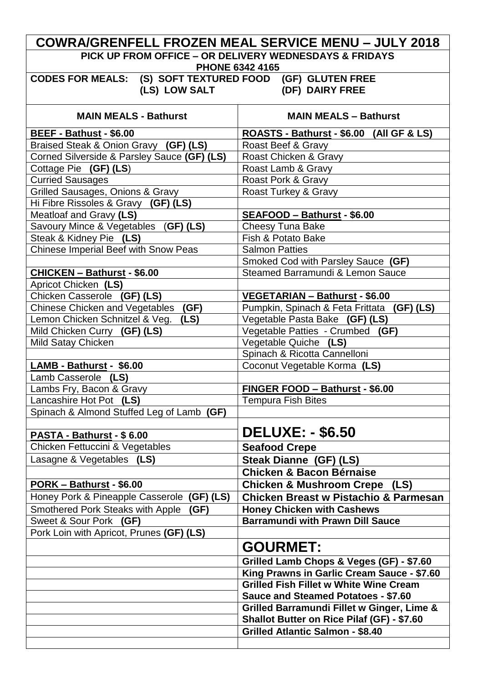|                                                                                              | <b>COWRA/GRENFELL FROZEN MEAL SERVICE MENU - JULY 2018</b>                                      |  |  |  |
|----------------------------------------------------------------------------------------------|-------------------------------------------------------------------------------------------------|--|--|--|
| PICK UP FROM OFFICE - OR DELIVERY WEDNESDAYS & FRIDAYS<br><b>PHONE 6342 4165</b>             |                                                                                                 |  |  |  |
| CODES FOR MEALS: (S) SOFT TEXTURED FOOD (GF) GLUTEN FREE<br>(LS) LOW SALT<br>(DF) DAIRY FREE |                                                                                                 |  |  |  |
| <b>MAIN MEALS - Bathurst</b>                                                                 | <b>MAIN MEALS - Bathurst</b>                                                                    |  |  |  |
| BEEF - Bathust - \$6.00                                                                      | ROASTS - Bathurst - \$6.00 (All GF & LS)                                                        |  |  |  |
| Braised Steak & Onion Gravy (GF) (LS)                                                        | Roast Beef & Gravy                                                                              |  |  |  |
| Corned Silverside & Parsley Sauce (GF) (LS)                                                  | Roast Chicken & Gravy                                                                           |  |  |  |
| Cottage Pie (GF) (LS)                                                                        | Roast Lamb & Gravy                                                                              |  |  |  |
| <b>Curried Sausages</b>                                                                      | Roast Pork & Gravy                                                                              |  |  |  |
| Grilled Sausages, Onions & Gravy                                                             | Roast Turkey & Gravy                                                                            |  |  |  |
| Hi Fibre Rissoles & Gravy (GF) (LS)                                                          |                                                                                                 |  |  |  |
| Meatloaf and Gravy (LS)                                                                      | SEAFOOD - Bathurst - \$6.00                                                                     |  |  |  |
| Savoury Mince & Vegetables (GF) (LS)                                                         | <b>Cheesy Tuna Bake</b>                                                                         |  |  |  |
| Steak & Kidney Pie (LS)                                                                      | Fish & Potato Bake                                                                              |  |  |  |
| Chinese Imperial Beef with Snow Peas                                                         | <b>Salmon Patties</b>                                                                           |  |  |  |
|                                                                                              | Smoked Cod with Parsley Sauce (GF)                                                              |  |  |  |
| CHICKEN - Bathurst - \$6.00                                                                  | Steamed Barramundi & Lemon Sauce                                                                |  |  |  |
| Apricot Chicken (LS)                                                                         |                                                                                                 |  |  |  |
| Chicken Casserole (GF) (LS)<br>Chinese Chicken and Vegetables<br>(GF)                        | <b>VEGETARIAN - Bathurst - \$6.00</b>                                                           |  |  |  |
| Lemon Chicken Schnitzel & Veg.<br>(LS)                                                       | Pumpkin, Spinach & Feta Frittata (GF) (LS)<br>Vegetable Pasta Bake (GF) (LS)                    |  |  |  |
| Mild Chicken Curry (GF) (LS)                                                                 | Vegetable Patties - Crumbed (GF)                                                                |  |  |  |
| Mild Satay Chicken                                                                           | Vegetable Quiche (LS)                                                                           |  |  |  |
|                                                                                              | Spinach & Ricotta Cannelloni                                                                    |  |  |  |
| LAMB - Bathurst - \$6.00                                                                     | Coconut Vegetable Korma (LS)                                                                    |  |  |  |
| Lamb Casserole (LS)                                                                          |                                                                                                 |  |  |  |
| Lambs Fry, Bacon & Gravy                                                                     | FINGER FOOD - Bathurst - \$6.00                                                                 |  |  |  |
| Lancashire Hot Pot (LS)                                                                      | <b>Tempura Fish Bites</b>                                                                       |  |  |  |
| Spinach & Almond Stuffed Leg of Lamb (GF)                                                    |                                                                                                 |  |  |  |
| PASTA - Bathurst - \$6.00                                                                    | <b>DELUXE: - \$6.50</b>                                                                         |  |  |  |
| Chicken Fettuccini & Vegetables                                                              | <b>Seafood Crepe</b>                                                                            |  |  |  |
| Lasagne & Vegetables (LS)                                                                    | Steak Dianne (GF) (LS)                                                                          |  |  |  |
|                                                                                              | <b>Chicken &amp; Bacon Bérnaise</b>                                                             |  |  |  |
| PORK - Bathurst - \$6.00                                                                     | <b>Chicken &amp; Mushroom Crepe (LS)</b>                                                        |  |  |  |
| Honey Pork & Pineapple Casserole<br>(GF)(LS)                                                 | <b>Chicken Breast w Pistachio &amp; Parmesan</b>                                                |  |  |  |
| Smothered Pork Steaks with Apple<br>(GF)                                                     | <b>Honey Chicken with Cashews</b>                                                               |  |  |  |
| Sweet & Sour Pork (GF)                                                                       | <b>Barramundi with Prawn Dill Sauce</b>                                                         |  |  |  |
| Pork Loin with Apricot, Prunes (GF) (LS)                                                     |                                                                                                 |  |  |  |
|                                                                                              | <b>GOURMET:</b>                                                                                 |  |  |  |
|                                                                                              |                                                                                                 |  |  |  |
|                                                                                              | Grilled Lamb Chops & Veges (GF) - \$7.60                                                        |  |  |  |
|                                                                                              | King Prawns in Garlic Cream Sauce - \$7.60                                                      |  |  |  |
|                                                                                              | <b>Grilled Fish Fillet w White Wine Cream</b>                                                   |  |  |  |
|                                                                                              | <b>Sauce and Steamed Potatoes - \$7.60</b>                                                      |  |  |  |
|                                                                                              | Grilled Barramundi Fillet w Ginger, Lime &<br><b>Shallot Butter on Rice Pilaf (GF) - \$7.60</b> |  |  |  |
|                                                                                              | <b>Grilled Atlantic Salmon - \$8.40</b>                                                         |  |  |  |
|                                                                                              |                                                                                                 |  |  |  |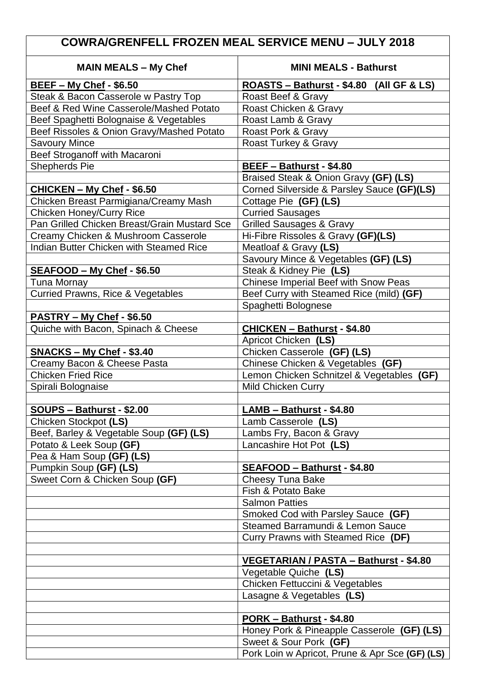## **COWRA/GRENFELL FROZEN MEAL SERVICE MENU – JULY 2018**

| <b>MAIN MEALS - My Chef</b>                        | <b>MINI MEALS - Bathurst</b>                   |  |  |
|----------------------------------------------------|------------------------------------------------|--|--|
| <b>BEEF - My Chef - \$6.50</b>                     | ROASTS - Bathurst - \$4.80 (All GF & LS)       |  |  |
| Steak & Bacon Casserole w Pastry Top               | Roast Beef & Gravy                             |  |  |
| Beef & Red Wine Casserole/Mashed Potato            | Roast Chicken & Gravy                          |  |  |
| Beef Spaghetti Bolognaise & Vegetables             | Roast Lamb & Gravy                             |  |  |
| Beef Rissoles & Onion Gravy/Mashed Potato          | Roast Pork & Gravy                             |  |  |
| <b>Savoury Mince</b>                               | Roast Turkey & Gravy                           |  |  |
| Beef Stroganoff with Macaroni                      |                                                |  |  |
| Shepherds Pie                                      | BEEF - Bathurst - \$4.80                       |  |  |
|                                                    | Braised Steak & Onion Gravy (GF) (LS)          |  |  |
| CHICKEN - My Chef - \$6.50                         | Corned Silverside & Parsley Sauce (GF)(LS)     |  |  |
| Chicken Breast Parmigiana/Creamy Mash              | Cottage Pie (GF) (LS)                          |  |  |
| <b>Chicken Honey/Curry Rice</b>                    | <b>Curried Sausages</b>                        |  |  |
| Pan Grilled Chicken Breast/Grain Mustard Sce       | <b>Grilled Sausages &amp; Gravy</b>            |  |  |
| Creamy Chicken & Mushroom Casserole                | Hi-Fibre Rissoles & Gravy (GF)(LS)             |  |  |
| <b>Indian Butter Chicken with Steamed Rice</b>     | Meatloaf & Gravy (LS)                          |  |  |
|                                                    | Savoury Mince & Vegetables (GF) (LS)           |  |  |
| SEAFOOD - My Chef - \$6.50                         | Steak & Kidney Pie (LS)                        |  |  |
| <b>Tuna Mornay</b>                                 | Chinese Imperial Beef with Snow Peas           |  |  |
| <b>Curried Prawns, Rice &amp; Vegetables</b>       | Beef Curry with Steamed Rice (mild) (GF)       |  |  |
|                                                    | Spaghetti Bolognese                            |  |  |
| PASTRY - My Chef - \$6.50                          |                                                |  |  |
| Quiche with Bacon, Spinach & Cheese                | CHICKEN - Bathurst - \$4.80                    |  |  |
|                                                    | Apricot Chicken (LS)                           |  |  |
| $SNACKS - My Chef - $3.40$                         | Chicken Casserole (GF) (LS)                    |  |  |
| Creamy Bacon & Cheese Pasta                        | Chinese Chicken & Vegetables (GF)              |  |  |
| <b>Chicken Fried Rice</b>                          | Lemon Chicken Schnitzel & Vegetables (GF)      |  |  |
| Spirali Bolognaise                                 | <b>Mild Chicken Curry</b>                      |  |  |
|                                                    | LAMB - Bathurst - \$4.80                       |  |  |
| SOUPS - Bathurst - \$2.00<br>Chicken Stockpot (LS) | Lamb Casserole (LS)                            |  |  |
| Beef, Barley & Vegetable Soup (GF) (LS)            | Lambs Fry, Bacon & Gravy                       |  |  |
| Potato & Leek Soup (GF)                            | Lancashire Hot Pot (LS)                        |  |  |
| Pea & Ham Soup (GF) (LS)                           |                                                |  |  |
| Pumpkin Soup (GF) (LS)                             | SEAFOOD - Bathurst - \$4.80                    |  |  |
| Sweet Corn & Chicken Soup (GF)                     | <b>Cheesy Tuna Bake</b>                        |  |  |
|                                                    | Fish & Potato Bake                             |  |  |
|                                                    | <b>Salmon Patties</b>                          |  |  |
|                                                    | Smoked Cod with Parsley Sauce (GF)             |  |  |
|                                                    | Steamed Barramundi & Lemon Sauce               |  |  |
|                                                    | Curry Prawns with Steamed Rice (DF)            |  |  |
|                                                    |                                                |  |  |
|                                                    | <b>VEGETARIAN / PASTA - Bathurst - \$4.80</b>  |  |  |
|                                                    | Vegetable Quiche (LS)                          |  |  |
|                                                    | Chicken Fettuccini & Vegetables                |  |  |
|                                                    | Lasagne & Vegetables (LS)                      |  |  |
|                                                    |                                                |  |  |
|                                                    | PORK - Bathurst - \$4.80                       |  |  |
|                                                    | Honey Pork & Pineapple Casserole (GF) (LS)     |  |  |
|                                                    | Sweet & Sour Pork (GF)                         |  |  |
|                                                    | Pork Loin w Apricot, Prune & Apr Sce (GF) (LS) |  |  |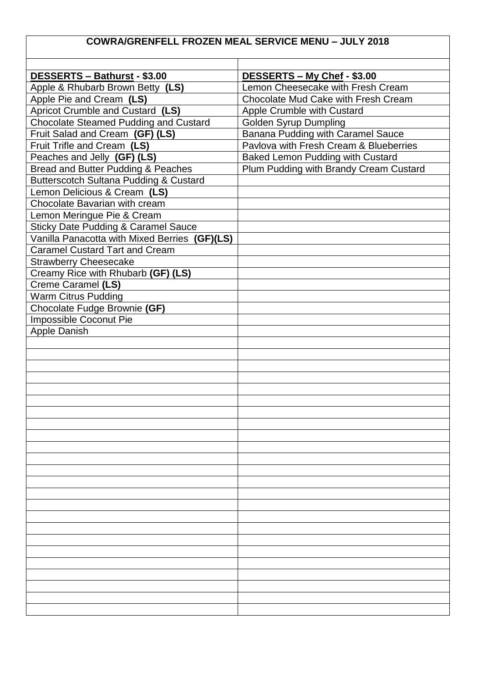## **COWRA/GRENFELL FROZEN MEAL SERVICE MENU – JULY 2018**

| DESSERTS - Bathurst - \$3.00                   | DESSERTS - My Chef - \$3.00                |
|------------------------------------------------|--------------------------------------------|
| Apple & Rhubarb Brown Betty (LS)               | Lemon Cheesecake with Fresh Cream          |
| Apple Pie and Cream (LS)                       | <b>Chocolate Mud Cake with Fresh Cream</b> |
| Apricot Crumble and Custard (LS)               | Apple Crumble with Custard                 |
| <b>Chocolate Steamed Pudding and Custard</b>   | <b>Golden Syrup Dumpling</b>               |
| Fruit Salad and Cream (GF) (LS)                | <b>Banana Pudding with Caramel Sauce</b>   |
| Fruit Trifle and Cream (LS)                    | Pavlova with Fresh Cream & Blueberries     |
| Peaches and Jelly (GF) (LS)                    | <b>Baked Lemon Pudding with Custard</b>    |
| Bread and Butter Pudding & Peaches             | Plum Pudding with Brandy Cream Custard     |
| Butterscotch Sultana Pudding & Custard         |                                            |
| Lemon Delicious & Cream (LS)                   |                                            |
| Chocolate Bavarian with cream                  |                                            |
| Lemon Meringue Pie & Cream                     |                                            |
| <b>Sticky Date Pudding &amp; Caramel Sauce</b> |                                            |
| Vanilla Panacotta with Mixed Berries (GF)(LS)  |                                            |
| <b>Caramel Custard Tart and Cream</b>          |                                            |
| <b>Strawberry Cheesecake</b>                   |                                            |
| Creamy Rice with Rhubarb (GF) (LS)             |                                            |
| Creme Caramel (LS)                             |                                            |
| <b>Warm Citrus Pudding</b>                     |                                            |
| Chocolate Fudge Brownie (GF)                   |                                            |
| Impossible Coconut Pie                         |                                            |
| <b>Apple Danish</b>                            |                                            |
|                                                |                                            |
|                                                |                                            |
|                                                |                                            |
|                                                |                                            |
|                                                |                                            |
|                                                |                                            |
|                                                |                                            |
|                                                |                                            |
|                                                |                                            |
|                                                |                                            |
|                                                |                                            |
|                                                |                                            |
|                                                |                                            |
|                                                |                                            |
|                                                |                                            |
|                                                |                                            |
|                                                |                                            |
|                                                |                                            |
|                                                |                                            |
|                                                |                                            |
|                                                |                                            |
|                                                |                                            |
|                                                |                                            |
|                                                |                                            |